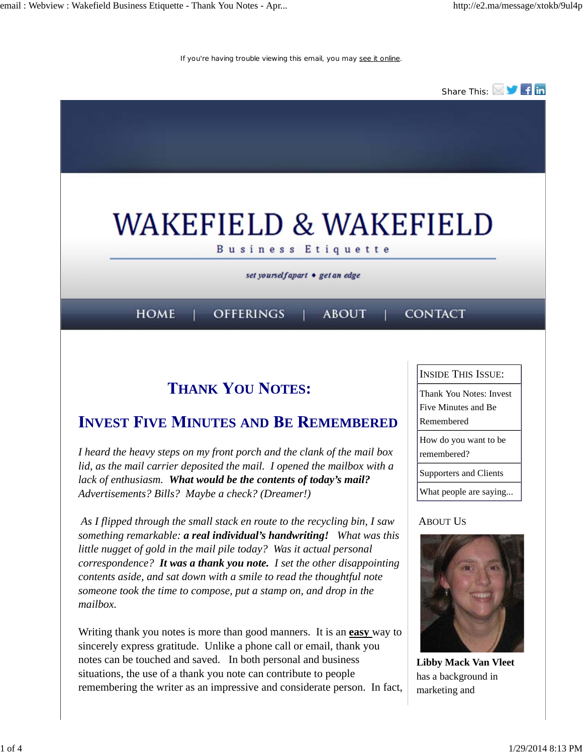If you're having trouble viewing this email, you may see it online.



## **THANK YOU NOTES:**

## **INVEST FIVE MINUTES AND BE REMEMBERED**

*I heard the heavy steps on my front porch and the clank of the mail box lid, as the mail carrier deposited the mail. I opened the mailbox with a lack of enthusiasm. What would be the contents of today's mail? Advertisements? Bills? Maybe a check? (Dreamer!)*

 *As I flipped through the small stack en route to the recycling bin, I saw something remarkable: a real individual's handwriting! What was this little nugget of gold in the mail pile today? Was it actual personal correspondence? It was a thank you note. I set the other disappointing contents aside, and sat down with a smile to read the thoughtful note someone took the time to compose, put a stamp on, and drop in the mailbox.* 

Writing thank you notes is more than good manners. It is an **easy** way to sincerely express gratitude. Unlike a phone call or email, thank you notes can be touched and saved. In both personal and business situations, the use of a thank you note can contribute to people remembering the writer as an impressive and considerate person. In fact, INSIDE THIS ISSUE:

Thank You Notes: Invest Five Minutes and Be Remembered

How do you want to be

remembered?

Supporters and Clients

What people are saying...

#### **ABOUT US**



**Libby Mack Van Vleet** has a background in marketing and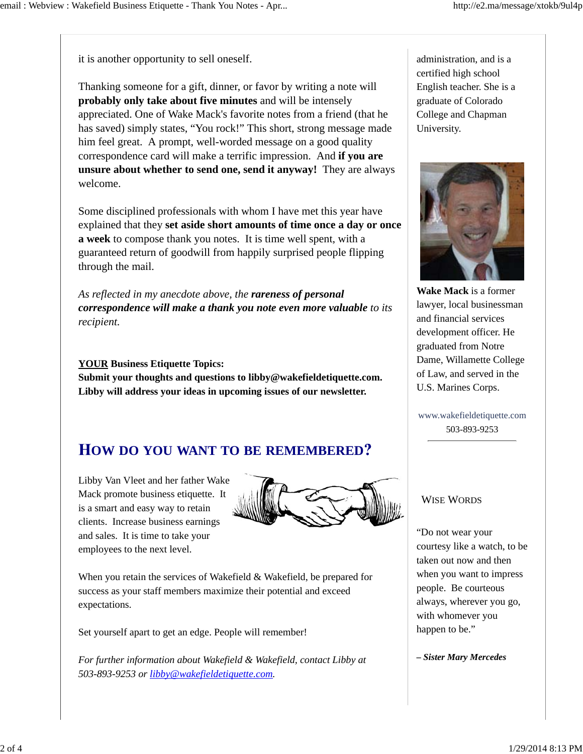it is another opportunity to sell oneself.

Thanking someone for a gift, dinner, or favor by writing a note will **probably only take about five minutes** and will be intensely appreciated. One of Wake Mack's favorite notes from a friend (that he has saved) simply states, "You rock!" This short, strong message made him feel great. A prompt, well-worded message on a good quality correspondence card will make a terrific impression. And **if you are unsure about whether to send one, send it anyway!** They are always welcome.

Some disciplined professionals with whom I have met this year have explained that they **set aside short amounts of time once a day or once a week** to compose thank you notes. It is time well spent, with a guaranteed return of goodwill from happily surprised people flipping through the mail.

*As reflected in my anecdote above, the rareness of personal correspondence will make a thank you note even more valuable to its recipient.* 

#### **YOUR Business Etiquette Topics:**

**Submit your thoughts and questions to libby@wakefieldetiquette.com. Libby will address your ideas in upcoming issues of our newsletter.**

## **OW DO YOU WANT TO BE REMEMBERED**

Libby Van Vleet and her father Wake Mack promote business etiquette. It is a smart and easy way to retain clients. Increase business earnings and sales. It is time to take your employees to the next level.



When you retain the services of Wakefield & Wakefield, be prepared for success as your staff members maximize their potential and exceed expectations.

Set yourself apart to get an edge. People will remember!

*For further information about Wakefield & Wakefield, contact Libby at 503-893-9253 or libby@wakefieldetiquette.com.*

administration, and is a certified high school English teacher. She is a graduate of Colorado College and Chapman University.



**Wake Mack** is a former lawyer, local businessman and financial services development officer. He graduated from Notre Dame, Willamette College of Law, and served in the U.S. Marines Corps.

www.wakefieldetiquette.com 503-893-9253

#### WISE WORDS

"Do not wear your courtesy like a watch, to be taken out now and then when you want to impress people. Be courteous always, wherever you go, with whomever you happen to be."

*– Sister Mary Mercedes*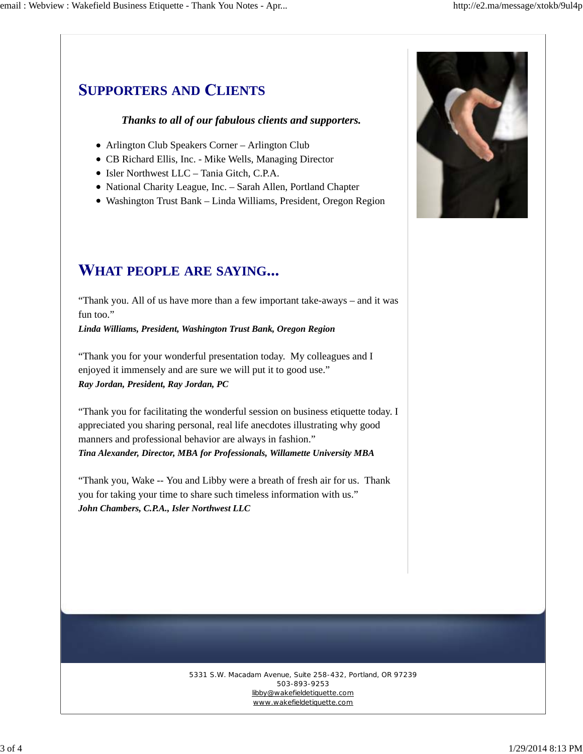# **UPPORTERS AND LIENTS**

### *Thanks to all of our fabulous clients and supporters.*

- Arlington Club Speakers Corner Arlington Club
- CB Richard Ellis, Inc. Mike Wells, Managing Director
- Isler Northwest LLC Tania Gitch, C.P.A.
- National Charity League, Inc. Sarah Allen, Portland Chapter
- Washington Trust Bank Linda Williams, President, Oregon Region

## **HAT PEOPLE ARE SAYING**

"Thank you. All of us have more than a few important take-aways – and it was fun too."

*Linda Williams, President, Washington Trust Bank, Oregon Region*

"Thank you for your wonderful presentation today. My colleagues and I enjoyed it immensely and are sure we will put it to good use." *Ray Jordan, President, Ray Jordan, PC*

"Thank you for facilitating the wonderful session on business etiquette today. I appreciated you sharing personal, real life anecdotes illustrating why good manners and professional behavior are always in fashion." *Tina Alexander, Director, MBA for Professionals, Willamette University MBA*

"Thank you, Wake -- You and Libby were a breath of fresh air for us. Thank you for taking your time to share such timeless information with us." *John Chambers, C.P.A., Isler Northwest LLC*



#### 5331 S.W. Macadam Avenue, Suite 258-432, Portland, OR 97239 503-893-9253 libby@wakefieldetiquette.com www.wakefieldetiquette.com